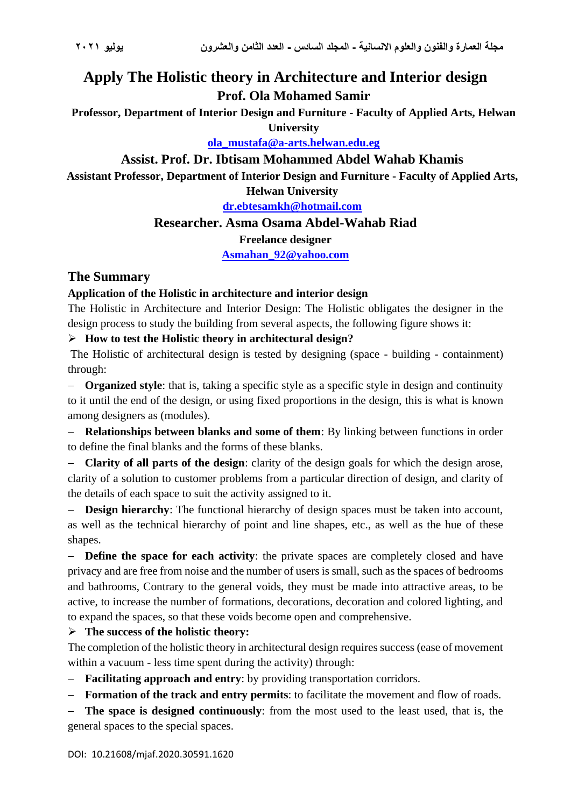# **Apply The Holistic theory in Architecture and Interior design Prof. Ola Mohamed Samir**

**Professor, Department of Interior Design and Furniture - Faculty of Applied Arts, Helwan University**

**ola\_mustafa@a-arts.helwan.edu.eg**

### **Assist. Prof. Dr. Ibtisam Mohammed Abdel Wahab Khamis**

**Assistant Professor, Department of Interior Design and Furniture - Faculty of Applied Arts,** 

**Helwan University**

**[dr.ebtesamkh@hotmail.com](mailto:dr.ebtesamkh@hotmail.com)**

### **Researcher. Asma Osama Abdel-Wahab Riad**

**Freelance designer**

**[Asmahan\\_92@yahoo.com](mailto:Asmahan_92@yahoo.com)**

# **The Summary**

### **Application of the Holistic in architecture and interior design**

The Holistic in Architecture and Interior Design: The Holistic obligates the designer in the design process to study the building from several aspects, the following figure shows it:

### ➢ **How to test the Holistic theory in architectural design?**

The Holistic of architectural design is tested by designing (space - building - containment) through:

− **Organized style**: that is, taking a specific style as a specific style in design and continuity to it until the end of the design, or using fixed proportions in the design, this is what is known among designers as (modules).

− **Relationships between blanks and some of them**: By linking between functions in order to define the final blanks and the forms of these blanks.

− **Clarity of all parts of the design**: clarity of the design goals for which the design arose, clarity of a solution to customer problems from a particular direction of design, and clarity of the details of each space to suit the activity assigned to it.

− **Design hierarchy**: The functional hierarchy of design spaces must be taken into account, as well as the technical hierarchy of point and line shapes, etc., as well as the hue of these shapes.

− **Define the space for each activity**: the private spaces are completely closed and have privacy and are free from noise and the number of users is small, such as the spaces of bedrooms and bathrooms, Contrary to the general voids, they must be made into attractive areas, to be active, to increase the number of formations, decorations, decoration and colored lighting, and to expand the spaces, so that these voids become open and comprehensive.

➢ **The success of the holistic theory:**

The completion of the holistic theory in architectural design requires success (ease of movement within a vacuum - less time spent during the activity) through:

− **Facilitating approach and entry**: by providing transportation corridors.

− **Formation of the track and entry permits**: to facilitate the movement and flow of roads.

− **The space is designed continuously**: from the most used to the least used, that is, the general spaces to the special spaces.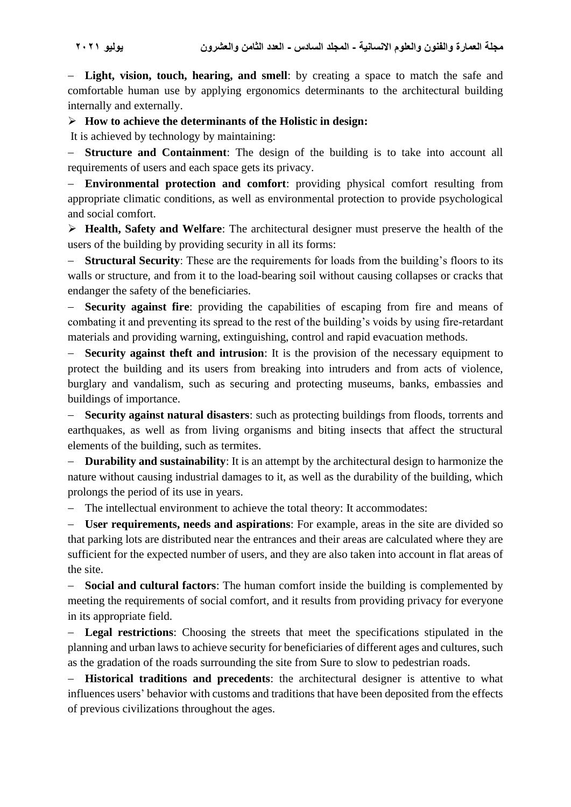− **Light, vision, touch, hearing, and smell**: by creating a space to match the safe and comfortable human use by applying ergonomics determinants to the architectural building internally and externally.

### ➢ **How to achieve the determinants of the Holistic in design:**

It is achieved by technology by maintaining:

− **Structure and Containment**: The design of the building is to take into account all requirements of users and each space gets its privacy.

− **Environmental protection and comfort**: providing physical comfort resulting from appropriate climatic conditions, as well as environmental protection to provide psychological and social comfort.

➢ **Health, Safety and Welfare**: The architectural designer must preserve the health of the users of the building by providing security in all its forms:

**Structural Security**: These are the requirements for loads from the building's floors to its walls or structure, and from it to the load-bearing soil without causing collapses or cracks that endanger the safety of the beneficiaries.

− **Security against fire**: providing the capabilities of escaping from fire and means of combating it and preventing its spread to the rest of the building's voids by using fire-retardant materials and providing warning, extinguishing, control and rapid evacuation methods.

**Security against theft and intrusion**: It is the provision of the necessary equipment to protect the building and its users from breaking into intruders and from acts of violence, burglary and vandalism, such as securing and protecting museums, banks, embassies and buildings of importance.

− **Security against natural disasters**: such as protecting buildings from floods, torrents and earthquakes, as well as from living organisms and biting insects that affect the structural elements of the building, such as termites.

**Durability and sustainability**: It is an attempt by the architectural design to harmonize the nature without causing industrial damages to it, as well as the durability of the building, which prolongs the period of its use in years.

The intellectual environment to achieve the total theory: It accommodates:

− **User requirements, needs and aspirations**: For example, areas in the site are divided so that parking lots are distributed near the entrances and their areas are calculated where they are sufficient for the expected number of users, and they are also taken into account in flat areas of the site.

− **Social and cultural factors**: The human comfort inside the building is complemented by meeting the requirements of social comfort, and it results from providing privacy for everyone in its appropriate field.

− **Legal restrictions**: Choosing the streets that meet the specifications stipulated in the planning and urban laws to achieve security for beneficiaries of different ages and cultures, such as the gradation of the roads surrounding the site from Sure to slow to pedestrian roads.

− **Historical traditions and precedents**: the architectural designer is attentive to what influences users' behavior with customs and traditions that have been deposited from the effects of previous civilizations throughout the ages.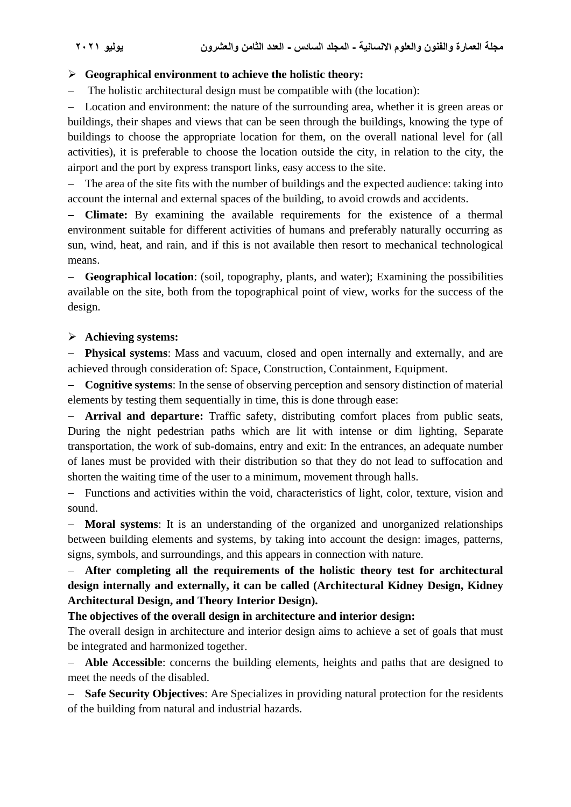### ➢ **Geographical environment to achieve the holistic theory:**

− The holistic architectural design must be compatible with (the location):

− Location and environment: the nature of the surrounding area, whether it is green areas or buildings, their shapes and views that can be seen through the buildings, knowing the type of buildings to choose the appropriate location for them, on the overall national level for (all activities), it is preferable to choose the location outside the city, in relation to the city, the airport and the port by express transport links, easy access to the site.

− The area of the site fits with the number of buildings and the expected audience: taking into account the internal and external spaces of the building, to avoid crowds and accidents.

**Climate:** By examining the available requirements for the existence of a thermal environment suitable for different activities of humans and preferably naturally occurring as sun, wind, heat, and rain, and if this is not available then resort to mechanical technological means.

− **Geographical location**: (soil, topography, plants, and water); Examining the possibilities available on the site, both from the topographical point of view, works for the success of the design.

### ➢ **Achieving systems:**

− **Physical systems**: Mass and vacuum, closed and open internally and externally, and are achieved through consideration of: Space, Construction, Containment, Equipment.

− **Cognitive systems**: In the sense of observing perception and sensory distinction of material elements by testing them sequentially in time, this is done through ease:

**Arrival and departure:** Traffic safety, distributing comfort places from public seats, During the night pedestrian paths which are lit with intense or dim lighting, Separate transportation, the work of sub-domains, entry and exit: In the entrances, an adequate number of lanes must be provided with their distribution so that they do not lead to suffocation and shorten the waiting time of the user to a minimum, movement through halls.

− Functions and activities within the void, characteristics of light, color, texture, vision and sound.

− **Moral systems**: It is an understanding of the organized and unorganized relationships between building elements and systems, by taking into account the design: images, patterns, signs, symbols, and surroundings, and this appears in connection with nature.

# − **After completing all the requirements of the holistic theory test for architectural design internally and externally, it can be called (Architectural Kidney Design, Kidney Architectural Design, and Theory Interior Design).**

**The objectives of the overall design in architecture and interior design:**

The overall design in architecture and interior design aims to achieve a set of goals that must be integrated and harmonized together.

− **Able Accessible**: concerns the building elements, heights and paths that are designed to meet the needs of the disabled.

**Safe Security Objectives:** Are Specializes in providing natural protection for the residents of the building from natural and industrial hazards.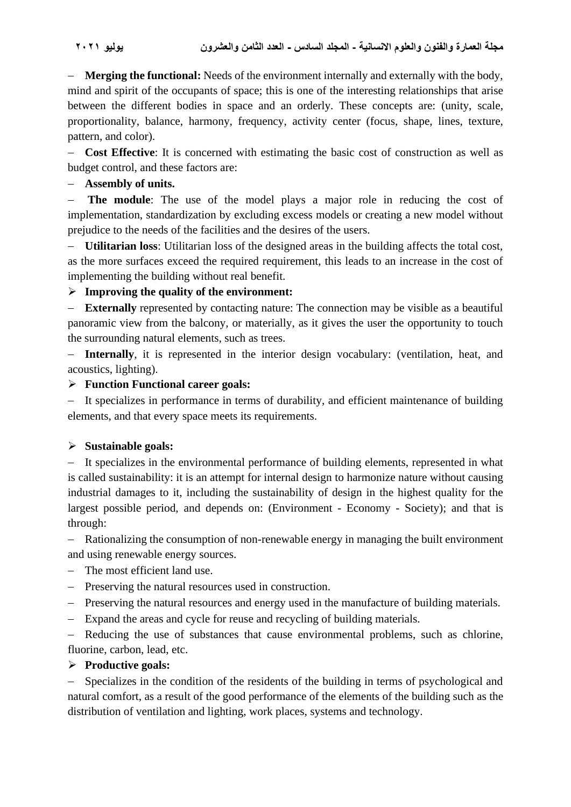− **Merging the functional:** Needs of the environment internally and externally with the body, mind and spirit of the occupants of space; this is one of the interesting relationships that arise between the different bodies in space and an orderly. These concepts are: (unity, scale, proportionality, balance, harmony, frequency, activity center (focus, shape, lines, texture, pattern, and color).

− **Cost Effective**: It is concerned with estimating the basic cost of construction as well as budget control, and these factors are:

### − **Assembly of units.**

− **The module**: The use of the model plays a major role in reducing the cost of implementation, standardization by excluding excess models or creating a new model without prejudice to the needs of the facilities and the desires of the users.

**Utilitarian loss:** Utilitarian loss of the designed areas in the building affects the total cost, as the more surfaces exceed the required requirement, this leads to an increase in the cost of implementing the building without real benefit.

# ➢ **Improving the quality of the environment:**

− **Externally** represented by contacting nature: The connection may be visible as a beautiful panoramic view from the balcony, or materially, as it gives the user the opportunity to touch the surrounding natural elements, such as trees.

− **Internally**, it is represented in the interior design vocabulary: (ventilation, heat, and acoustics, lighting).

### ➢ **Function Functional career goals:**

− It specializes in performance in terms of durability, and efficient maintenance of building elements, and that every space meets its requirements.

### ➢ **Sustainable goals:**

− It specializes in the environmental performance of building elements, represented in what is called sustainability: it is an attempt for internal design to harmonize nature without causing industrial damages to it, including the sustainability of design in the highest quality for the largest possible period, and depends on: (Environment - Economy - Society); and that is through:

− Rationalizing the consumption of non-renewable energy in managing the built environment and using renewable energy sources.

- − The most efficient land use.
- − Preserving the natural resources used in construction.
- − Preserving the natural resources and energy used in the manufacture of building materials.
- − Expand the areas and cycle for reuse and recycling of building materials.

− Reducing the use of substances that cause environmental problems, such as chlorine, fluorine, carbon, lead, etc.

### ➢ **Productive goals:**

Specializes in the condition of the residents of the building in terms of psychological and natural comfort, as a result of the good performance of the elements of the building such as the distribution of ventilation and lighting, work places, systems and technology.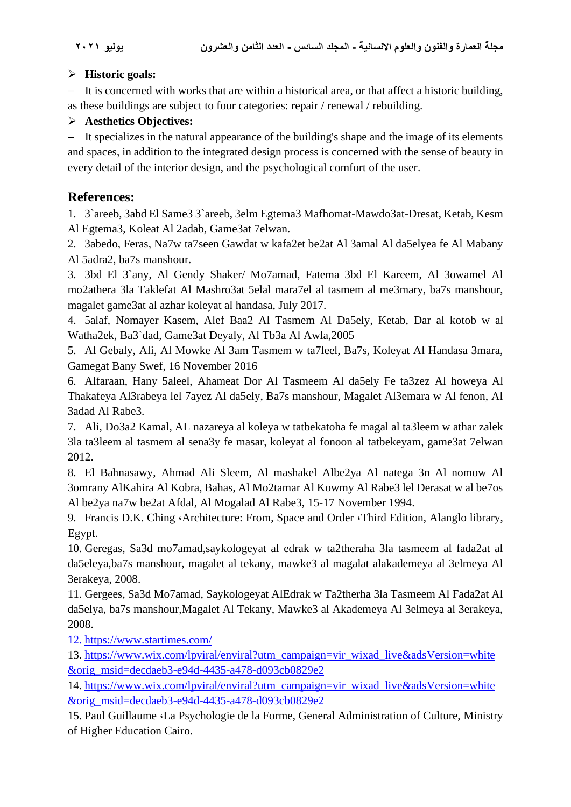### ➢ **Historic goals:**

− It is concerned with works that are within a historical area, or that affect a historic building, as these buildings are subject to four categories: repair / renewal / rebuilding.

# ➢ **Aesthetics Objectives:**

− It specializes in the natural appearance of the building's shape and the image of its elements and spaces, in addition to the integrated design process is concerned with the sense of beauty in every detail of the interior design, and the psychological comfort of the user.

# **References:**

1. 3`areeb, 3abd El Same3 3`areeb, 3elm Egtema3 Mafhomat-Mawdo3at-Dresat, Ketab, Kesm Al Egtema3, Koleat Al 2adab, Game3at 7elwan.

2. 3abedo, Feras, Na7w ta7seen Gawdat w kafa2et be2at Al 3amal Al da5elyea fe Al Mabany Al 5adra2, ba7s manshour.

3. 3bd El 3`any, Al Gendy Shaker/ Mo7amad, Fatema 3bd El Kareem, Al 3owamel Al mo2athera 3la Taklefat Al Mashro3at 5elal mara7el al tasmem al me3mary, ba7s manshour, magalet game3at al azhar koleyat al handasa, July 2017.

4. 5alaf, Nomayer Kasem, Alef Baa2 Al Tasmem Al Da5ely, Ketab, Dar al kotob w al Watha2ek, Ba3`dad, Game3at Deyaly, Al Tb3a Al Awla,2005

5. Al Gebaly, Ali, Al Mowke Al 3am Tasmem w ta7leel, Ba7s, Koleyat Al Handasa 3mara, Gamegat Bany Swef, 16 November 2016

6. Alfaraan, Hany 5aleel, Ahameat Dor Al Tasmeem Al da5ely Fe ta3zez Al howeya Al Thakafeya Al3rabeya lel 7ayez Al da5ely, Ba7s manshour, Magalet Al3emara w Al fenon, Al 3adad Al Rabe3.

7. Ali, Do3a2 Kamal, AL nazareya al koleya w tatbekatoha fe magal al ta3leem w athar zalek 3la ta3leem al tasmem al sena3y fe masar, koleyat al fonoon al tatbekeyam, game3at 7elwan 2012.

8. El Bahnasawy, Ahmad Ali Sleem, Al mashakel Albe2ya Al natega 3n Al nomow Al 3omrany AlKahira Al Kobra, Bahas, Al Mo2tamar Al Kowmy Al Rabe3 lel Derasat w al be7os Al be2ya na7w be2at Afdal, Al Mogalad Al Rabe3, 15-17 November 1994.

9. Francis D.K. Ching ،Architecture: From, Space and Order ،Third Edition, Alanglo library, Egypt.

10. Geregas, Sa3d mo7amad,saykologeyat al edrak w ta2theraha 3la tasmeem al fada2at al da5eleya,ba7s manshour, magalet al tekany, mawke3 al magalat alakademeya al 3elmeya Al 3erakeya, 2008.

11. Gergees, Sa3d Mo7amad, Saykologeyat AlEdrak w Ta2therha 3la Tasmeem Al Fada2at Al da5elya, ba7s manshour,Magalet Al Tekany, Mawke3 al Akademeya Al 3elmeya al 3erakeya, 2008.

12. <https://www.startimes.com/>

13. [https://www.wix.com/lpviral/enviral?utm\\_campaign=vir\\_wixad\\_live&adsVersion=white](https://www.wix.com/lpviral/enviral?utm_campaign=vir_wixad_live&adsVersion=white&orig_msid=decdaeb3-e94d-4435-a478-d093cb0829e2) [&orig\\_msid=decdaeb3-e94d-4435-a478-d093cb0829e2](https://www.wix.com/lpviral/enviral?utm_campaign=vir_wixad_live&adsVersion=white&orig_msid=decdaeb3-e94d-4435-a478-d093cb0829e2)

14. [https://www.wix.com/lpviral/enviral?utm\\_campaign=vir\\_wixad\\_live&adsVersion=white](https://www.wix.com/lpviral/enviral?utm_campaign=vir_wixad_live&adsVersion=white&orig_msid=decdaeb3-e94d-4435-a478-d093cb0829e2) [&orig\\_msid=decdaeb3-e94d-4435-a478-d093cb0829e2](https://www.wix.com/lpviral/enviral?utm_campaign=vir_wixad_live&adsVersion=white&orig_msid=decdaeb3-e94d-4435-a478-d093cb0829e2)

15. Paul Guillaume ،La Psychologie de la Forme, General Administration of Culture, Ministry of Higher Education Cairo.